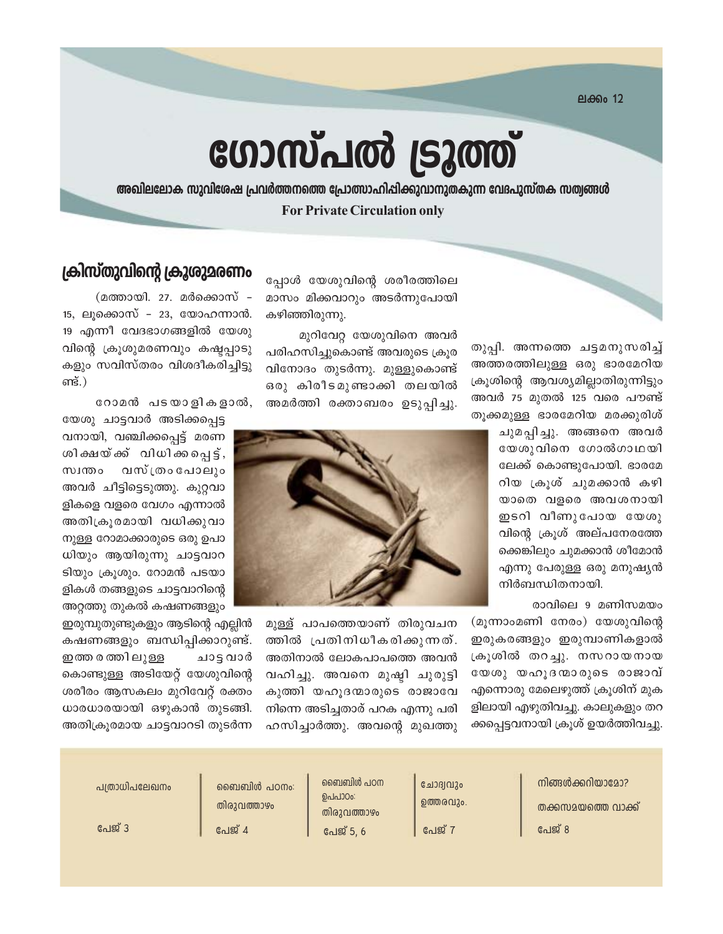**ലക്കം 12** 

# ഗോസ്പൽ ട്രൂത്ത്

അഖിലലോക സുവിശേഷ പ്രവർത്തനത്തെ പ്രോത്സാഹിപ്പിക്കുവാനുതകുന്ന വേദപുസ്തക സത്വങ്ങൾ **For Private Circulation only** 

> തുപ്പി. അന്നത്തെ ചട്ടമനുസരിച്ച് അത്തരത്തിലുള്ള ഒരു ഭാരമേറിയ ക്രൂശിന്റെ ആവശ്യമില്ലാതിരുന്നിട്ടും അവർ 75 മുതൽ 125 വരെ പൗണ്ട് തൂക്കമുള്ള ഭാരമേറിയ മരക്കുരിശ്

> > ചുമപ്പിച്ചു. അങ്ങനെ അവർ യേശുവിനെ ഗോൽഗാഥയി ലേക്ക് കൊണ്ടുപോയി. ഭാരമേ റിയ ക്രൂശ് ചുമക്കാൻ കഴി യാതെ വളരെ അവശനായി ഇടറി വീണുപോയ യേശു വിന്റെ ക്രൂശ് അല്പനേരത്തേ ക്കെങ്കിലും ചുമക്കാൻ ശീമോൻ എന്നു പേരുള്ള ഒരു മനുഷ്യൻ നിർബന്ധിതനായി.

> > > രാവിലെ 9 മണിസമയം

(മൂന്നാംമണി നേരം) യേശുവിന്റെ ഇരുകരങ്ങളും ഇരുമ്പാണികളാൽ ക്രൂശിൽ തറച്ചു. നസറായനായ യേശു യഹൂദനമാരുടെ രാജാവ് എന്നൊരു മേലെഴുത്ത് ക്രൂശിന് മുക ളിലായി എഴുതിവച്ചു. കാലുകളും തറ ക്കപ്പെട്ടവനായി ക്രൂശ് ഉയർത്തിവച്ചു.

പ്പോൾ യേശുവിന്റെ ശരീരത്തിലെ മാസം മിക്കവാറും അടർന്നുപോയി കഴിഞ്ഞിരുന്നു.

മുറിവേറ്റ യേശുവിനെ അവർ പരിഹസിച്ചുകൊണ്ട് അവരുടെ ക്രൂര വിനോദം തുടർന്നു. മുള്ളുകൊണ്ട് ഒരു കിരീടമുണ്ടാക്കി തലയിൽ അമർത്തി രക്താബരം ഉടുപ്പിച്ചു.



മുള്ള് പാപത്തെയാണ് തിരുവചന ത്തിൽ പ്രതിനിധീകരിക്കുന്നത്. അതിനാൽ ലോകപാപത്തെ അവൻ വഹിച്ചു. അവനെ മുഷ്ഠി ചുരുട്ടി കുത്തി യഹൂദന്മാരുടെ രാജാവേ നിന്നെ അടിച്ചതാര് പറക എന്നു പരി ഹസിച്ചാർത്തു. അവന്റെ മുഖത്തു

### ക്രിസ്തുവിന്റെ ക്രൂശുമരണം

(മത്തായി. 27. മർക്കൊസ് – 15, ലുക്കൊസ് – 23, യോഹന്നാൻ. 19 എന്നീ വേദഭാഗങ്ങളിൽ യേശു വിന്റെ ക്രൂശുമരണവും കഷ്ടപ്പാടു കളും സവിസ്തരം വിശദീകരിച്ചിട്ടു ണ്ട്.)

റോമൻ പടയാളികളാൽ,

യേശു ചാട്ടവാർ അടിക്കപ്പെട്ട വനായി, വഞ്ചിക്കപ്പെട്ട് മരണ ശിക്ഷയ്ക്ക് വിധിക്കപ്പെട്ട്, വസ്ത്രം പോലും സ്വന്തം അവർ ചീട്ടിട്ടെടുത്തു. കുറ്റവാ ളികളെ വളരെ വേഗം എന്നാൽ അതിക്രൂരമായി വധിക്കുവാ നുള്ള റോമാക്കാരുടെ ഒരു ഉപാ ധിയും ആയിരുന്നു ചാട്ടവാറ ടിയും ക്രുശും. റോമൻ പടയാ ളികൾ തങ്ങളുടെ ചാട്ടവാറിന്റെ അറ്റത്തു തുകൽ കഷണങ്ങളും

ഇരുമ്പുതുണ്ടുകളും ആടിന്റെ എല്ലിൻ കഷണങ്ങളും ബന്ധിപ്പിക്കാറുണ്ട്. ഇത്ത ര ത്തി ലുള്ള ചാട്ട വാർ കൊണ്ടുള്ള അടിയേറ്റ് യേശുവിന്റെ ശരീരം ആസകലം മുറിവേറ്റ് രക്തം ധാരധാരയായി ഒഴുകാൻ തുടങ്ങി. അതിക്രൂരമായ ചാട്ടവാറടി തുടർന്ന

> നിങ്ങൾക്കറിയാദോ? തക്കസമയത്തെ വാക്ക് പേജ് 8

ചോദ്വവും ഉത്തരവും പേജ് 7

ബൈബിൾ പഠന ഉപപാഠം: തിരുവത്താഴം പേജ് 5, 6

ബൈബിൾ പഠനം: തിരുവത്താഴം പേജ് 4

പത്രാധിപലേഖനം

പേജ് 3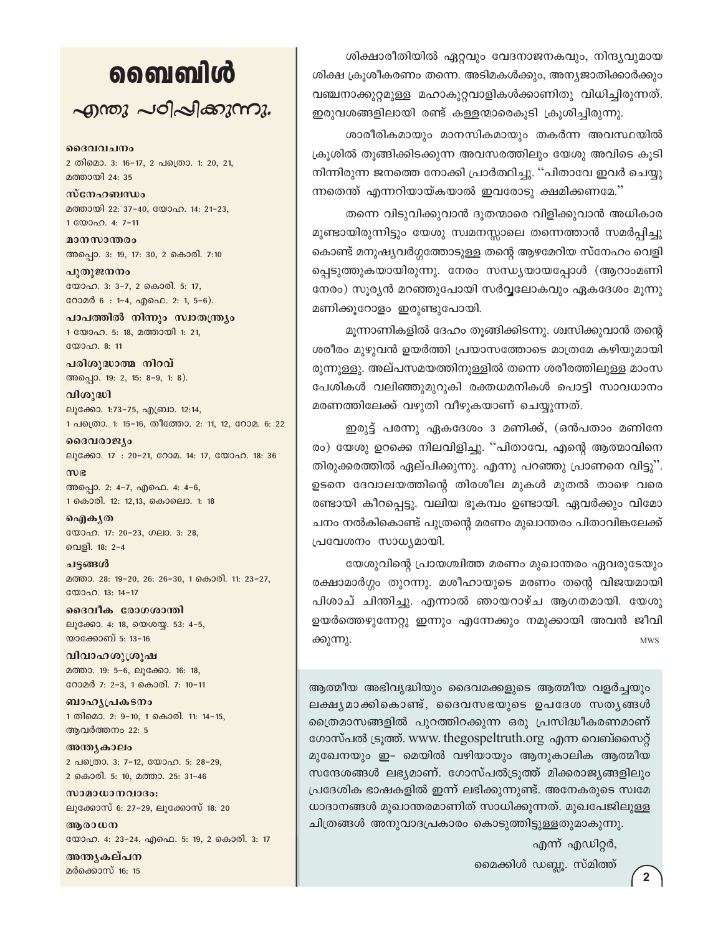# வைவிൾ

 $\sim$ ฏกอง  $\sim$ อา $\sim$ ใ $\sim$ งการ

ദൈവവചനം

2 തിമൊ. 3: 16-17, 2 പത്രൊ. 1: 20, 21, മത്തായി 24: 35

സ്നേഹബന്ധം മത്തായി 22: 37-40, യോഹ. 14: 21-23, 1 0000 0. 4: 7-11

മാനസാന്തരം അപ്പൊ. 3: 19, 17: 30, 2 കൊരി. 7:10

പുതുജനനം യോഹ. 3: 3-7, 2 കൊരി. 5: 17, റോമർ 6 : 1-4, എഫെ. 2: 1, 5-6).

പാപത്തിൽ നിന്നും സ്വാതന്ത്ര്യം 1 യോഹ. 5: 18, മത്തായി 1: 21, യോഹ. 8: 11

പരിശുദ്ധാത്മ നിറവ് അപ്പൊ. 19: 2, 15: 8-9, 1: 8).

വിശുദ്ധി ലൂക്കോ. 1:73-75, എബ്രാ. 12:14, 1 പത്രൊ. 1: 15-16, തീത്തോ. 2: 11, 12, റോമ. 6: 22

ദൈവരാജ്യം ലൂക്കോ. 17: 20-21, റോമ. 14: 17, യോഹ. 18: 36

 $m$ ) $\epsilon$ അപ്പൊ. 2: 4-7, എഫെ. 4: 4-6, 1 കൊരി. 12: 12,13, കൊലൊ. 1: 18

ഐകൃത യോഹ. 17: 20-23, ഗലാ. 3: 28, വെളി. 18: 2-4

ചട്ടങ്ങൾ മത്താ. 28: 19-20, 26: 26-30, 1 കൊരി. 11: 23-27, യോഹ. 13: 14-17

ദൈവീക രോഗശാന്തി ലൂക്കോ. 4: 18, യെശയ്യ. 53: 4-5, യാക്കോബ് 5: 13-16

വിവാഹശുശ്രൂഷ മത്താ. 19: 5-6, ലുക്കോ. 16: 18, റോമർ 7: 2-3, 1 കൊരി. 7: 10-11

ബാഹൃപ്രകടനം 1 തിമൊ. 2: 9-10, 1 കൊരി. 11: 14-15, ആവർത്തനം 22: 5

അന്ത്യകാലം 2 പക്രൊ. 3: 7-12, യോഹ. 5: 28-29, 2 കൊരി. 5: 10, മത്താ. 25: 31-46

സാമാധാനവാദം: ലൂക്കോസ് 6: 27-29, ലൂക്കോസ് 18: 20

അരാധന യോഹ. 4: 23-24, എഫെ. 5: 19, 2 കൊരി. 3: 17

അന്തൃകല്പന മർക്കൊസ് 16: 15

ശിക്ഷാരീതിയിൽ ഏറ്റവും വേദനാജനകവും, നിന്ദ്യവുമായ ശിക്ഷ ക്രുശീകരണം തന്നെ. അടിമകൾക്കും, അന്യജാതിക്കാർക്കും വഞ്ചനാക്കുറ്റമുള്ള മഹാകുറ്റവാളികൾക്കാണിതു വിധിച്ചിരുന്നത്. ഇരുവശങ്ങളിലായി രണ്ട് കള്ളന്മാരെകൂടി ക്രൂശിച്ചിരുന്നു.

ശാരീരികമായും മാനസികമായും തകർന്ന അവസ്ഥയിൽ ക്രുശിൽ തുങ്ങിക്കിടക്കുന്ന അവസരത്തിലും യേശു അവിടെ കൂടി നിന്നിരുന്ന ജനത്തെ നോക്കി പ്രാർത്ഥിച്ചു. ''പിതാവേ ഇവർ ചെയ്യു ന്നതെന്ത് എന്നറിയായ്കയാൽ ഇവരോടു ക്ഷമിക്കണമേ."

തന്നെ വിടുവിക്കുവാൻ ദൂതന്മാരെ വിളിക്കുവാൻ അധികാര മുണ്ടായിരുന്നിട്ടും യേശു സ്വമനസ്സാലെ തന്നെത്താൻ സമർപ്പിച്ചു കൊണ്ട് മനുഷ്യവർഗ്ഗത്തോടുള്ള തന്റെ ആഴമേറിയ സ്നേഹം വെളി പ്പെടുത്തുകയായിരുന്നു. നേരം സന്ധ്യയായപ്പോൾ (ആറാംമണി നേരം) സൂര്യൻ മറഞ്ഞുപോയി സർവ്വലോകവും ഏകദേശം മൂന്നു മണിക്കുറോളം ഇരുണ്ടുപോയി.

മൂന്നാണികളിൽ ദേഹം തൂങ്ങിക്കിടന്നു. ശ്വസിക്കുവാൻ തന്റെ ശരീരം മുഴുവൻ ഉയർത്തി പ്രയാസത്തോടെ മാത്രമേ കഴിയുമായി രുന്നുള്ളു. അല്പസമയത്തിനുള്ളിൽ തന്നെ ശരീരത്തിലുള്ള മാംസ പേശികൾ വലിഞ്ഞുമുറുകി രക്തധമനികൾ പൊട്ടി സാവധാനം മരണത്തിലേക്ക് വഴുതി വീഴുകയാണ് ചെയ്യുന്നത്.

ഇരുട്ട് പരന്നു ഏകദേശം 3 മണിക്ക്, (ഒൻപതാം മണിനേ രം) യേശു ഉറക്കെ നിലവിളിച്ചു. ''പിതാവേ, എന്റെ ആത്മാവിനെ തിരുക്കരത്തിൽ ഏല്പിക്കുന്നു. എന്നു പറഞ്ഞു പ്രാണനെ വിട്ടു". ഉടനെ ദേവാലയത്തിന്റെ തിരശീല മുകൾ മുതൽ താഴെ വരെ രണ്ടായി കീറപ്പെട്ടു. വലിയ ഭൂകമ്പം ഉണ്ടായി. ഏവർക്കും വിമോ ചനം നൽകികൊണ്ട് പുത്രന്റെ മരണം മുഖാന്തരം പിതാവിങ്കലേക്ക് പ്രവേശനം സാധ്യമായി.

യേശുവിന്റെ പ്രായശ്ചിത്ത മരണം മുഖാന്തരം ഏവരുടേയും രക്ഷാമാർഗ്ഗം തുറന്നു. മശീഹായുടെ മരണം തന്റെ വിജയമായി പിശാച് ചിന്തിച്ചു. എന്നാൽ ഞായറാഴ്ച ആഗതമായി. യേശു ഉയർത്തെഴുന്നേറ്റു ഇന്നും എന്നേക്കും നമുക്കായി അവൻ ജീവി ക്കുന്നു. **MWS** 

ആത്മീയ അഭിവൃദ്ധിയും ദൈവമക്കളുടെ ആത്മീയ വളർച്ചയും ലക്ഷ്യമാക്കികൊണ്ട്, ദൈവസഭയുടെ ഉപദേശ സത്യങ്ങൾ ത്രൈമാസങ്ങളിൽ പുറത്തിറക്കുന്ന ഒരു പ്രസിദ്ധീകരണമാണ് ഗോസ്പൽ ട്രൂത്ത്. www. thegospeltruth.org എന്ന വെബ്സൈറ്റ് മുഖേനയും ഇ- മെയിൽ വഴിയായും ആനുകാലിക ആത്മീയ സന്ദേശങ്ങൾ ലഭ്യമാണ്. ഗോസ്പൽട്രുത്ത് മിക്കരാജ്യങ്ങളിലും പ്രദേശിക ഭാഷകളിൽ ഇന്ന് ലഭിക്കുന്നുണ്ട്. അനേകരുടെ സ്വമേ ധാദാനങ്ങൾ മുഖാന്തരമാണിത് സാധിക്കുന്നത്. മുഖപേജിലുള്ള ചിത്രങ്ങൾ അനുവാദപ്രകാരം കൊടുത്തിട്ടുള്ളതുമാകുന്നു.

എന്ന് എഡിറ്റർ,

മൈക്കിൾ ഡബ്ലൂ. സ്മിത്ത്

 $\overline{2}$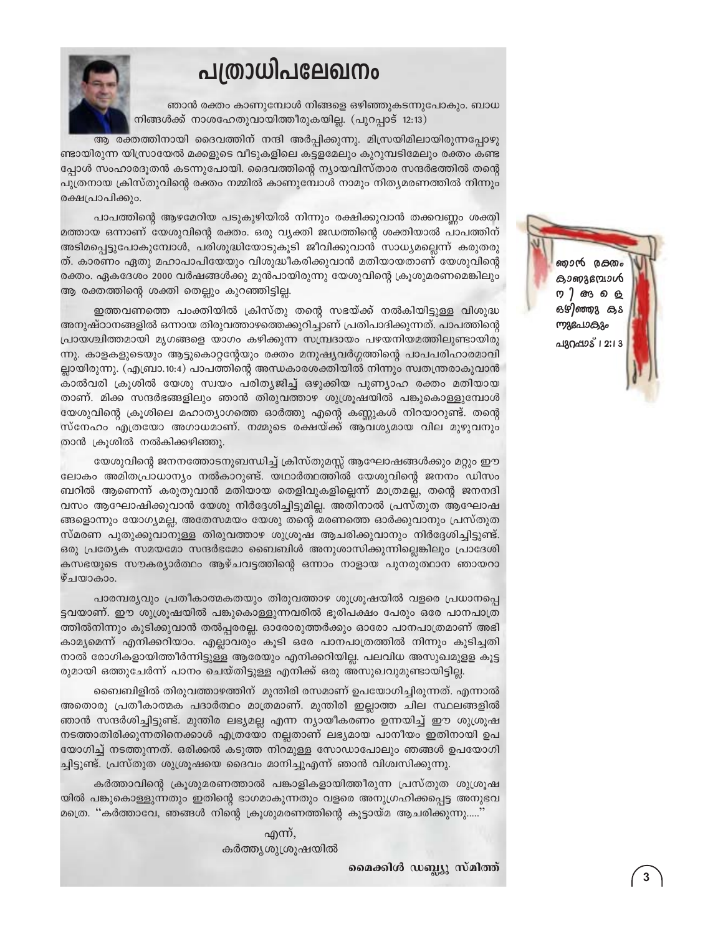# പത്രാധിപലേഖനം



ഞാൻ രക്തം കാണുമ്പോൾ നിങ്ങളെ ഒഴിഞ്ഞുകടന്നുപോകും. ബാധ നിങ്ങൾക്ക് നാശഹേതുവായിത്തീരുകയില്ല. (പുറപ്പാട് 12:13)

ആ രക്തത്തിനായി ദൈവത്തിന് നന്ദി അർപ്പിക്കുന്നു. മിസ്രയിമിലായിരുന്നപ്പോഴു ണ്ടായിരുന്ന യിസ്രായേൽ മക്കളുടെ വീടുകളിലെ കട്ടളമേലും കുറുമ്പടിമേലും രക്തം കണ്ട പ്പോൾ സംഹാരദൂതൻ കടന്നുപോയി. ദൈവത്തിന്റെ ന്യായവിസ്താര സന്ദർഭത്തിൽ തന്റെ പുത്രനായ ക്രിസ്തുവിന്റെ രക്തം നമ്മിൽ കാണുമ്പോൾ നാമും നിതൃമരണത്തിൽ നിന്നും രക്ഷപ്രാപിക്കും.

പാപത്തിന്റെ ആഴമേറിയ പടുകുഴിയിൽ നിന്നും രക്ഷിക്കുവാൻ തക്കവണ്ണം ശക്തി മത്തായ ഒന്നാണ് യേശുവിന്റെ രക്തം. ഒരു വ്യക്തി ജഡത്തിന്റെ ശക്തിയാൽ പാപത്തിന് അടിമപ്പെട്ടുപോകുമ്പോൾ, പരിശുദ്ധിയോടുകൂടി ജീവിക്കുവാൻ സാധ്യമല്ലെന്ന് കരുതരു ത്. കാരണം ഏതു മഹാപാപിയേയും വിശുദ്ധീകരിക്കുവാൻ മതിയായതാണ് യേശുവിന്റെ രക്തം. ഏകദേശം 2000 വർഷങ്ങൾക്കു മുൻപായിരുന്നു യേശുവിന്റെ ക്രൂശുമരണമെങ്കിലും ആ രക്തത്തിന്റെ ശക്തി തെല്ലും കുറഞ്ഞിട്ടില്ല.

ഇത്തവണത്തെ പംക്തിയിൽ ക്രിസ്തു തന്റെ സഭയ്ക്ക് നൽകിയിട്ടുള്ള വിശുദ്ധ അനുഷ്ഠാനങ്ങളിൽ ഒന്നായ തിരുവത്താഴത്തെക്കുറിച്ചാണ് പ്രതിപാദിക്കുന്നത്. പാപത്തിന്റെ പ്രായശ്ചിത്തമായി മൃഗങ്ങളെ യാഗം കഴിക്കുന്ന സമ്പ്രദായം പഴയനിയമത്തിലുണ്ടായിരു ന്നു. കാളകളുടെയും ആട്ടുകൊറ്റന്റേയും രക്തം മനുഷ്യവർഗ്ഗത്തിന്റെ പാപപരിഹാരമാവി ല്ലായിരുന്നു. (എബ്രാ.10:4) പാപത്തിന്റെ അന്ധകാരശക്തിയിൽ നിന്നും സ്വതന്ത്രരാകുവാൻ .<br>കാൽവരി ക്രൂശിൽ യേശു സ്വയം പരിത്യജിച്ച് ഒഴുക്കിയ പുണ്യാഹ രക്തം മതിയായ താണ്. മിക്ക സന്ദർഭങ്ങളിലും ഞാൻ തിരുവത്താഴ ശുശ്രൂഷയിൽ പങ്കുകൊള്ളുമ്പോൾ യേശുവിന്റെ ക്രൂശിലെ മഹാത്യാഗത്തെ ഓർത്തു എന്റെ കണ്ണുകൾ നിറയാറുണ്ട്. തന്റെ സ്നേഹം എത്രയോ അഗാധമാണ്. നമ്മുടെ രക്ഷയ്ക്ക് ആവശ്യമായ വില മുഴുവനും താൻ ക്രുശിൽ നൽകിക്കഴിഞ്ഞു.

യേശുവിന്റെ ജനനത്തോടനുബന്ധിച്ച് ക്രിസ്തുമസ്സ് ആഘോഷങ്ങൾക്കും മറ്റും ഈ ലോകം അമിതപ്രാധാന്യം നൽകാറുണ്ട്. യഥാർത്ഥത്തിൽ യേശുവിന്റെ ജനനം ഡിസം ബറിൽ ആണെന്ന് കരുതുവാൻ മതിയായ തെളിവുകളില്ലെന്ന് മാത്രമല്ല, തന്റെ ജനനദി വസം ആഘോഷിക്കുവാൻ യേശു നിർദ്ദേശിച്ചിട്ടുമില്ല. അതിനാൽ പ്രസ്തുത ആഘോഷ ങ്ങളൊന്നും യോഗ്യമല്ല, അതേസമയം യേശു തന്റെ മരണത്തെ ഓർക്കുവാനും പ്രസ്തുത സ്മരണ പുതുക്കുവാനുള്ള തിരുവത്താഴ ശുശ്രുഷ ആചരിക്കുവാനും നിർദ്ദേശിച്ചിട്ടുണ്ട്. ഒരു പ്രത്യേക സമയമോ സന്ദർഭമോ ബൈബിൾ അനുശാസിക്കുന്നില്ലെങ്കിലും പ്രാദേശി കസഭയുടെ സൗകര്യാർത്ഥം ആഴ്ചവട്ടത്തിന്റെ ഒന്നാം നാളായ പുനരുത്ഥാന ഞായറാ ഴ്ചയാകാം.

പാരമ്പര്യവും പ്രതീകാത്മകതയും തിരുവത്താഴ ശുശ്രുഷയിൽ വളരെ പ്രധാനപ്പെ ട്ടവയാണ്. ഈ ശുശ്രൂഷയിൽ പങ്കുകൊള്ളുന്നവരിൽ ഭൂരിപക്ഷം പേരും ഒരേ പാനപാത്ര ത്തിൽനിന്നും കുടിക്കുവാൻ തൽപ്പരരല്ല. ഓരോരുത്തർക്കും ഓരോ പാനപാത്രമാണ് അഭി കാമൃമെന്ന് എനിക്കറിയാം. എല്ലാവരും കൂടി ഒരേ പാനപാത്രത്തിൽ നിന്നും കുടിച്ചതി നാൽ രോഗികളായിത്തീർന്നിട്ടുള്ള ആരേയും എനിക്കറിയില്ല. പലവിധ അസുഖമുള്ള കുട്ട രുമായി ഒത്തുചേർന്ന് പാനം ചെയ്തിട്ടുള്ള എനിക്ക് ഒരു അസുഖവുമുണ്ടായിട്ടില്ല.

ബൈബിളിൽ തിരുവത്താഴത്തിന് മുന്തിരി രസമാണ് ഉപയോഗിച്ചിരുന്നത്. എന്നാൽ അതൊരു പ്രതീകാത്മക പദാർത്ഥം മാത്രമാണ്. മുന്തിരി ഇല്ലാത്ത ചില സ്ഥലങ്ങളിൽ ഞാൻ സന്ദർശിച്ചിട്ടുണ്ട്. മുന്തിര ലഭ്യമല്ല എന്ന ന്യായീകരണം ഉന്നയിച്ച് ഈ ശുശ്രൂഷ നടത്താതിരിക്കുന്നതിനെക്കാൾ എത്രയോ നല്ലതാണ് ലഭ്യമായ പാനീയം ഇതിനായി ഉപ യോഗിച്ച് നടത്തുന്നത്. ഒരിക്കൽ കടുത്ത നിറമുള്ള സോഡാപോലും ഞങ്ങൾ ഉപയോഗി ച്ചിട്ടുണ്ട്. പ്രസ്തുത ശുശ്രൂഷയെ ദൈവം മാനിച്ചുഎന്ന് ഞാൻ വിശ്വസിക്കുന്നു.

കർത്താവിന്റെ ക്രൂശുമരണത്താൽ പങ്കാളികളായിത്തീരുന്ന പ്രസ്തുത ശുശ്രൂഷ യിൽ പങ്കുകൊള്ളുന്നതും ഇതിന്റെ ഭാഗമാകുന്നതും വളരെ അനുഗ്രഹിക്കപ്പെട്ട അനുഭവ മത്രെ. ''കർത്താവേ, ഞങ്ങൾ നിന്റെ ക്രൂശുമരണത്തിന്റെ കൂട്ടായ്മ ആചരിക്കുന്നു.....'

> എന്ന്, കർത്തൃശുശ്രൂഷയിൽ

> > മൈക്കിൾ ഡബ്ല്യു സ്മിത്ത്

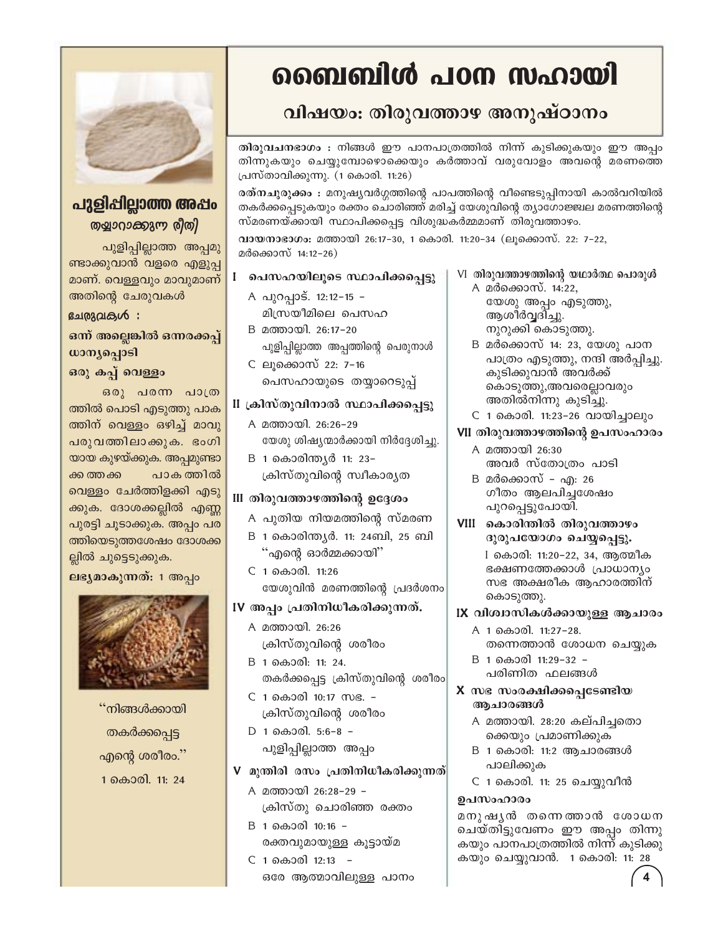

### പുളിപ്പില്ലാത്ത അപ്പം തളുാറാക്കുന്ന രീതി

പുളിപ്പില്ലാത്ത അപ്പമു ണ്ടാക്കുവാൻ വളരെ എളുപ്പ മാണ്. വെള്ളവും മാവുമാണ് അതിന്റെ ചേരുവകൾ

#### ഭചരുവരുൾ:

ഒന്ന് അല്ലെങ്കിൽ ഒന്നരക്കപ്പ് ധാന്യപ്പൊടി

### ഒരു കപ്പ് വെള്ളം

ഒരു പരന്ന പാത്ര ത്തിൽ പൊടി എടുത്തു പാക ത്തിന് വെള്ളം ഒഴിച്ച് മാവു പരുവത്തിലാക്കുക. ഭംഗി യായ കുഴയ്ക്കുക. അപ്പമുണ്ടാ പാക ത്തിൽ ക്ക ത്തക്ക വെള്ളം ചേർത്തിളക്കി എടു ക്കുക. ദോശക്കല്ലിൽ എണ്ണ പുരട്ടി ചൂടാക്കുക. അപ്പം പര ത്തിയെടുത്തശേഷം ദോശക്ക ല്ലിൽ ചുട്ടെടുക്കുക.

ലഭ്യമാകുന്നത്: 1 അപ്പം



''നിങ്ങൾക്കായി തകർക്കപ്പെട്ട എന്റെ ശരീരം. $\widetilde{a}$ 1 കൊരി. 11: 24

# ബൈബിൾ പഠന സഹായി

## വിഷയം: തിരുവത്താഴ അനുഷ്ഠാനം

തിരുവചനഭാഗം : നിങ്ങൾ ഈ പാനപാത്രത്തിൽ നിന്ന് കുടിക്കുകയും ഈ അപ്പം തിന്നുകയും ചെയ്യുമ്പോഴൊക്കെയും കർത്താവ് വരുവോളം അവന്റെ മരണത്തെ പ്രസ്താവിക്കുന്നു. (1 കൊരി. 11:26)

രത്നചുരുക്കം : മനുഷ്യവർഗ്ഗത്തിന്റെ പാപത്തിന്റെ വീണ്ടെടുപ്പിനായി കാൽവറിയിൽ തകർക്കപ്പെടുകയും രക്തം ചൊരിഞ്ഞ് മരിച്ച് യേശുവിന്റെ ത്യാഗോജ്ജ്വല മരണത്തിന്റെ സ്മരണയ്ക്കായി സ്ഥാപിക്കപ്പെട്ട വിശുദ്ധകർമ്മമാണ് തിരുവത്താഴം.

വായനാഭാഗം: മത്തായി 26:17-30, 1 കൊരി. 11:20-34 (ലൂക്കൊസ്. 22: 7-22, മർക്കൊസ് 14:12-26)

### l പെസഹയിലൂടെ സ്ഥാപിക്കപ്പെട്ടു

- A പുറപ്പാട്. 12:12-15 -മിസ്രയീമിലെ പെസഹ
- B മത്തായി. 26:17-20 പുളിപ്പില്ലാത്ത അപ്പത്തിന്റെ പെരുനാൾ
- C ലുക്കൊസ് 22: 7-16 പെസഹായുടെ തയ്യാറെടുപ്പ്

#### II ക്രിസ്തുവിനാൽ സ്ഥാപിക്കപ്പെട്ടു

- A മത്തായി. 26:26-29 യേശു ശിഷ്യന്മാർക്കായി നിർദ്ദേശിച്ചു.
- B 1 കൊരിന്ത്യർ 11: 23-ക്രിസ്തുവിന്റെ സ്വീകാരൃത

### III തിരുവത്താഴത്തിന്റെ ഉദ്ദേശം

- A പുതിയ നിയമത്തിന്റെ സ്മരണ
- B 1 കൊരിന്ത്യർ. 11: 24ബി, 25 ബി "എന്റെ ഓർമ്മക്കായി"
- C 1 கைoலி. 11:26 യേശുവിൻ മരണത്തിന്റെ പ്രദർശനം

### IV അപ്പം പ്രതിനിധീകരിക്കുന്നത്.

- A മത്തായി. 26:26 ക്രിസ്തുവിന്റെ ശരീരം
- B 1 കൊരി: 11: 24. തകർക്കപ്പെട്ട ക്രിസ്തുവിന്റെ ശരീരം
- C 1 കൊരി 10:17 സഭ. -ക്രിസ്തുവിന്റെ ശരീരം
- D 1 കൊരി. 5:6-8 -പുളിപ്പില്ലാത്ത അപ്പം

### V മുന്തിരി രസം പ്രതിനിധീകരിക്കുന്നത്|

- A മത്തായി 26:28-29 -ക്രിസ്തു ചൊരിഞ്ഞ രക്തം
- B 1 കൊരി 10:16 -രക്തവുമായുള്ള കൂട്ടായ്മ
- C 1 കൊരി 12:13 -ഒരേ ആത്മാവിലുള്ള പാനം

#### VI തിരുവത്താഴത്തിന്റെ യഥാർത്ഥ പൊരുൾ A മർക്കൊസ്. 14:22, യേശു അപ്പം എടുത്തു, ആശീർവ്വദിച്ചു. നുറുക്കി കൊടുത്തു.

- B മർക്കൊസ് 14: 23, യേശു പാന പാത്രം എടുത്തു, നന്ദി അർപ്പിച്ചു. കുടിക്കുവാൻ അവർക്ക് കൊടുത്തു,അവരെല്ലാവരും അതിൽനിന്നു കൂടിച്ചു.
- C 1 കൊരി. 11:23-26 വായിച്ചാലും

### VII തിരുവത്താഴത്തിന്റെ ഉപസംഹാരം

- A മത്തായി 26:30 അവർ സ്തോത്രം പാടി
- B മർക്കൊസ് എ: 26 ഗീതം ആലപിച്ചശേഷം പുറപ്പെട്ടുപോയി.
- VIII കൊരിന്തിൽ തിരുവത്താഴം ദുരുപയോഗം ചെയ്യപ്പെട്ടു.

I കൊരി: 11:20-22, 34, ആത്മീക ഭക്ഷണത്തേക്കാൾ പ്രാധാന്യം സഭ അക്ഷരീക ആഹാരത്തിന് കൊടുത്തു.

### IX വിശ്വാസികൾക്കായുള്ള ആചാരം

- A 1 കൊരി. 11:27-28. തന്നെത്താൻ ശോധന ചെയ്യുക
- B 1 കൊരി 11:29-32 -പരിണിത ഫലങ്ങൾ
- X സഭ സംരക്ഷിക്കപ്പെടേണ്ടിയ ആചാരങ്ങൾ
	- A മത്തായി. 28:20 കല്പിച്ചതൊ ക്കെയും പ്രമാണിക്കുക
	- B 1 കൊരി: 11:2 ആചാരങ്ങൾ പാലിക്കുക
	- C 1 കൊരി. 11: 25 ചെയ്യുവീൻ

### ഉപസംഹാരം

മനുഷൃൻ തന്നെത്താൻ ശോധന ചെയ്തിട്ടുവേണം ഈ അപ്പം തിന്നു കയും പാനപാത്രത്തിൽ നിന്ന് കുടിക്കു കയും ചെയ്യുവാൻ. 1 കൊരി: 11: 28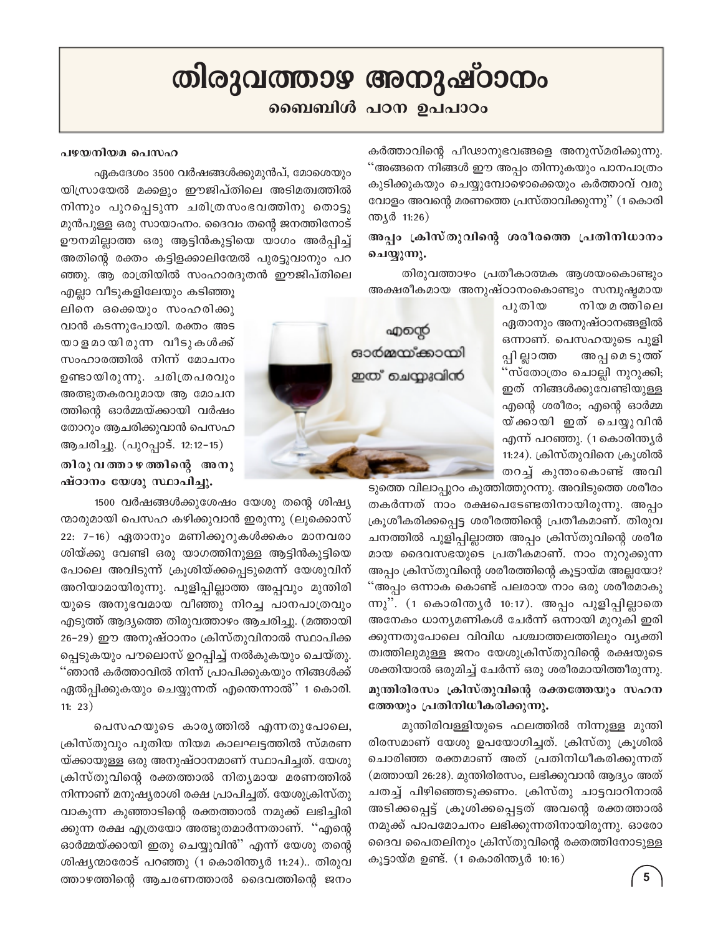# തിരുവത്താഴ അനുഷ്ഠാനം

### ബൈബിൾ പഠന ഉപപാഠം

കർത്താവിന്റെ പീഢാനുഭവങ്ങളെ അനുസ്മരിക്കുന്നു. "അങ്ങനെ നിങ്ങൾ ഈ അപ്പം തിന്നുകയും പാനപാത്രം കുടിക്കുകയും ചെയ്യുമ്പോഴൊക്കെയും കർത്താവ് വരു വോളം അവന്റെ മരണത്തെ പ്രസ്താവിക്കുന്നു'' (1 കൊരി ന്ത്യർ 11:26)

### അപ്പം ക്രിസ്തുവിന്റെ ശരീരത്തെ പ്രതിനിധാനം ചെയ്യുന്നു.

തിരുവത്താഴം പ്രതീകാത്മക ആശയംകൊണ്ടും അക്ഷരീകമായ അനുഷ്ഠാനംകൊണ്ടും സമ്പുഷ്ടമായ

> നിയ മത്തിലെ പുതിയ ഏതാനും അനുഷ്ഠാനങ്ങളിൽ ഒന്നാണ്. പെസഹയുടെ പുളി പ്പി ല്ലാത്ത അപ്പമെടുത്ത് 'സ്തോത്രം ചൊല്ലി നുറുക്കി; ഇത് നിങ്ങൾക്കുവേണ്ടിയുള്ള എന്റെ ശരീരം; എന്റെ ഓർമ്മ യ്ക്കായി ഇത് ചെയ്യുവിൻ എന്ന് പറഞ്ഞു. (1കൊരിന്ത്യർ 11:24). ക്രിസ്തുവിനെ ക്രൂശിൽ തറച്ച് കുന്തംകൊണ്ട് അവി

ടുത്തെ വിലാപ്പുറം കുത്തിത്തുറന്നു. അവിടുത്തെ ശരീരം തകർന്നത് നാം രക്ഷപെടേണ്ടതിനായിരുന്നു. അപ്പം ക്രൂശീകരിക്കപ്പെട്ട ശരീരത്തിന്റെ പ്രതീകമാണ്. തിരുവ ചനത്തിൽ പുളിപ്പില്ലാത്ത അപ്പം ക്രിസ്തുവിന്റെ ശരീര മായ ദൈവസഭയുടെ പ്രതീകമാണ്. നാം നുറുക്കുന്ന അപ്പം ക്രിസ്തുവിന്റെ ശരീരത്തിന്റെ കൂട്ടായ്മ അല്ലയോ? ്അപ്പം ഒന്നാക കൊണ്ട് പലരായ നാം ഒരു ശരീരമാകു ന്നു". (1 കൊരിന്ത്യർ 10:17). അപ്പം പുളിപ്പില്ലാതെ അനേകം ധാന്യമണികൾ ചേർന്ന് ഒന്നായി മുറുകി ഇരി ക്കുന്നതുപോലെ വിവിധ പശ്ചാത്തലത്തിലും വ്യക്തി ത്വത്തിലുമുള്ള ജനം യേശുക്രിസ്തുവിന്റെ രക്ഷയുടെ ശക്തിയാൽ ഒരുമിച്ച് ചേർന്ന് ഒരു ശരീരമായിത്തീരുന്നു.

### മുന്തിരിരസം ക്രിസ്തുവിന്റെ രക്തത്തേയും സഹന ത്തേയും പ്രതിനിധീകരിക്കുന്നു.

മുന്തിരിവള്ളിയുടെ ഫലത്തിൽ നിന്നുള്ള മുന്തി രിരസമാണ് യേശു ഉപയോഗിച്ചത്. ക്രിസ്തു ക്രൂശിൽ ചൊരിഞ്ഞ രക്തമാണ് അത് പ്രതിനിധീകരിക്കുന്നത് (മത്തായി 26:28). മുന്തിരിരസം, ലഭിക്കുവാൻ ആദ്യം അത് ചതച്ച് പിഴിഞ്ഞെടുക്കണം. ക്രിസ്തു ചാട്ടവാറിനാൽ അടിക്കപ്പെട്ട് ക്രൂശിക്കപ്പെട്ടത് അവന്റെ രക്തത്താൽ നമുക്ക് പാപമോചനം ലഭിക്കുന്നതിനായിരുന്നു. ഓരോ ദൈവ പൈതലിനും ക്രിസ്തുവിന്റെ രക്തത്തിനോടുള്ള കൂട്ടായ്മ ഉണ്ട്. (1 കൊരിന്ത്യർ 10:16)

### പഴയനിയമ പെസഹ

ഏകദേശം 3500 വർഷങ്ങൾക്കുമുൻപ്, മോശെയും യിസ്രായേൽ മക്കളും ഈജിപ്തിലെ അടിമത്വത്തിൽ നിന്നും പുറപ്പെടുന്ന ചരിത്രസംഭവത്തിനു തൊട്ടു മുൻപുള്ള ഒരു സായാഹ്നം. ദൈവം തന്റെ ജനത്തിനോട് ഊനമില്ലാത്ത ഒരു ആട്ടിൻകുട്ടിയെ യാഗം അർപ്പിച്ച് അതിന്റെ രക്തം കട്ടിളക്കാലിന്മേൽ പുരട്ടുവാനും പറ ഞ്ഞു. ആ രാത്രിയിൽ സംഹാരദൂതൻ ഈജിപ്തിലെ

എല്ലാ വീടുകളിലേയും കടിഞ്ഞൂ ലിനെ ഒക്കെയും സംഹരിക്കു വാൻ കടന്നുപോയി. രക്തം അട യാളമായിരുന്ന വീടുകൾക്ക് സംഹാരത്തിൽ നിന്ന് മോചനം ഉണ്ടായിരുന്നു. ചരിത്രപരവും അത്ഭുതകരവുമായ ആ മോചന ത്തിന്റെ ഓർമ്മയ്ക്കായി വർഷം തോറും ആചരിക്കുവാൻ പെസഹ ആചരിച്ചു. (പുറപ്പാട്. 12:12-15)

### തിരുവത്താഴത്തിന്റെ അനു ഷ്ഠാനം യേശു സ്ഥാപിച്ചു.

1500 വർഷങ്ങൾക്കുശേഷം യേശു തന്റെ ശിഷ്യ ന്മാരുമായി പെസഹ കഴിക്കുവാൻ ഇരുന്നു (ലൂക്കൊസ് 22: 7-16) ഏതാനും മണിക്കൂറുകൾക്കകം മാനവരാ ശിയ്ക്കു വേണ്ടി ഒരു യാഗത്തിനുള്ള ആട്ടിൻകുട്ടിയെ പോലെ അവിടുന്ന് ക്രൂശിയ്ക്കപ്പെടുമെന്ന് യേശുവിന് അറിയാമായിരുന്നു. പുളിപ്പില്ലാത്ത അപ്പവും മുന്തിരി യുടെ അനുഭവമായ വീഞ്ഞു നിറച്ച പാനപാത്രവും എടുത്ത് ആദ്യത്തെ തിരുവത്താഴം ആചരിച്ചു. (മത്തായി 26–29) ഈ അനുഷ്ഠാനം ക്രിസ്തുവിനാൽ സ്ഥാപിക്ക പ്പെടുകയും പൗലൊസ് ഉറപ്പിച്ച് നൽകുകയും ചെയ്തു. ''ഞാൻ കർത്താവിൽ നിന്ന് പ്രാപിക്കുകയും നിങ്ങൾക്ക് ഏൽപ്പിക്കുകയും ചെയ്യുന്നത് എന്തെന്നാൽ" 1 കൊരി.  $11: 23)$ 

പെസഹയുടെ കാരൃത്തിൽ എന്നതുപോലെ, ക്രിസ്തുവും പുതിയ നിയമ കാലഘട്ടത്തിൽ സ്മരണ യ്ക്കായുള്ള ഒരു അനുഷ്ഠാനമാണ് സ്ഥാപിച്ചത്. യേശു ക്രിസ്തുവിന്റെ രക്തത്താൽ നിത്യമായ മരണത്തിൽ നിന്നാണ് മനുഷ്യരാശി രക്ഷ പ്രാപിച്ചത്. യേശുക്രിസ്തു വാകുന്ന കുഞ്ഞാടിന്റെ രക്തത്താൽ നമുക്ക് ലഭിച്ചിരി ക്കുന്ന രക്ഷ എത്രയോ അത്ഭുതമാർന്നതാണ്. ''എന്റെ ഓർമ്മയ്ക്കായി ഇതു ചെയ്യുവിൻ" എന്ന് യേശു തന്റെ ശിഷ്യന്മാരോട് പറഞ്ഞു (1 കൊരിന്ത്യർ 11:24).. തിരുവ ത്താഴത്തിന്റെ ആചരണത്താൽ ദൈവത്തിന്റെ ജനം

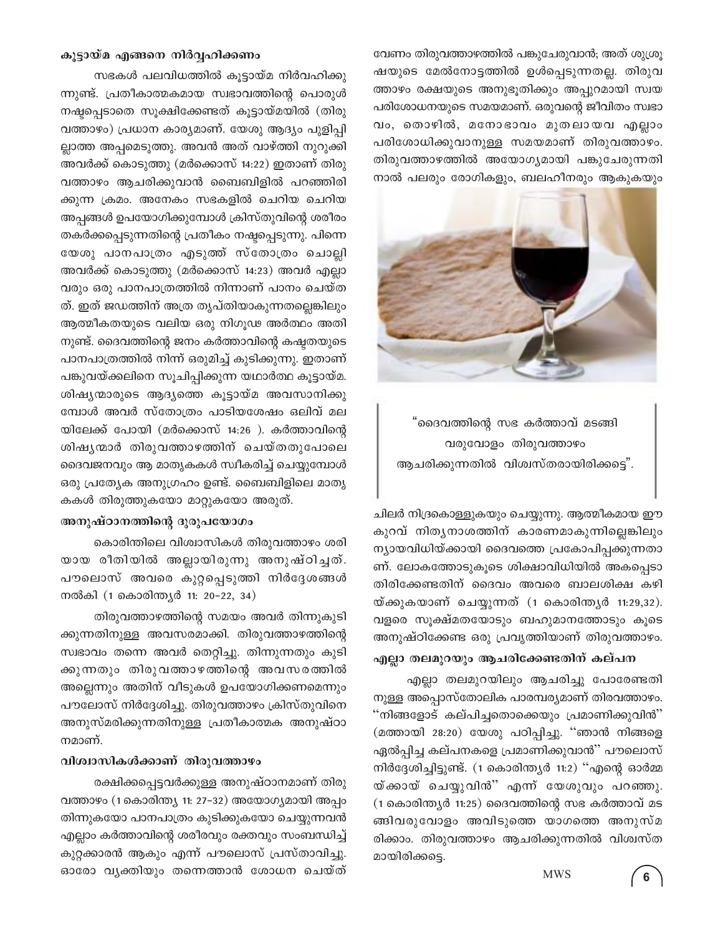വേണം തിരുവത്താഴത്തിൽ പങ്കുചേരുവാൻ; അത് ശുശ്രൂ ഷയുടെ മേൽനോട്ടത്തിൽ ഉൾപ്പെടുന്നതല്ല. തിരുവ ത്താഴം രക്ഷയുടെ അനുഭൂതിക്കും അപ്പുറമായി സ്വയ പരിശോധനയുടെ സമയമാണ്. ഒരുവന്റെ ജീവിതം സ്വഭാ വം, തൊഴിൽ, മനോഭാവം മുതലായവ എല്ലാം പരിശോധിക്കുവാനുള്ള സമയമാണ് തിരുവത്താഴം. തിരുവത്താഴത്തിൽ അയോഗ്യമായി പങ്കുചേരുന്നതി നാൽ പലരും രോഗികളും, ബലഹീനരും ആകുകയും



"ദൈവത്തിന്റെ സഭ കർത്താവ് മടങ്ങി വരുവോളം തിരുവത്താഴം ആചരിക്കുന്നതിൽ വിശ്വസ്തരായിരിക്കട്ടെ".

ചിലർ നിദ്രകൊള്ളുകയും ചെയ്യുന്നു. ആത്മീകമായ ഈ കുറവ് നിതൃനാശത്തിന് കാരണമാകുന്നില്ലെങ്കിലും ന്യായവിധിയ്ക്കായി ദൈവത്തെ പ്രകോപിപ്പക്കുന്നതാ ണ്. ലോകത്തോടുകൂടെ ശിക്ഷാവിധിയിൽ അകപ്പെടാ തിരിക്കേണ്ടതിന് ദൈവം അവരെ ബാലശിക്ഷ കഴി യ്ക്കുകയാണ് ചെയ്യുന്നത് (1 കൊരിന്ത്യർ 11:29,32). വളരെ സൂക്ഷ്മതയോടും ബഹുമാനത്തോടും കൂടെ അനുഷ്ഠിക്കേണ്ട ഒരു പ്രവൃത്തിയാണ് തിരുവത്താഴം.

എല്ലാ തലമുറയും ആചരിക്കേണ്ടതിന് കല്പന

എല്ലാ തലമുറയിലും ആചരിച്ചു പോരേണ്ടതി നുള്ള അപ്പൊസ്തോലിക പാരമ്പര്യമാണ് തിരവത്താഴം. "നിങ്ങളോട് കല്പിച്ചതൊക്കെയും പ്രമാണിക്കുവിൻ" (മത്തായി 28:20) യേശു പഠിപ്പിച്ചു. "ഞാൻ നിങ്ങളെ ഏൽപ്പിച്ച കല്പനകളെ പ്രമാണിക്കുവാൻ'' പൗലൊസ് നിർദ്ദേശിച്ചിട്ടുണ്ട്. (1 കൊരിന്ത്യർ 11:2) "എന്റെ ഓർമ്മ യ്ക്കായ് ചെയ്യുവിൻ'' എന്ന് യേശുവും പറഞ്ഞു. (1 കൊരിന്ത്യർ 11:25) ദൈവത്തിന്റെ സഭ കർത്താവ് മട ങ്ങിവരുവോളം അവിടുത്തെ യാഗത്തെ അനുസ്മ രിക്കാം. തിരുവത്താഴം ആചരിക്കുന്നതിൽ വിശ്വസ്ത മായിരിക്കട്ടെ.

#### കൂട്ടായ്മ എങ്ങനെ നിർവ്വഹിക്കണം

സഭകൾ പലവിധത്തിൽ കൂട്ടായ്മ നിർവഹിക്കു ന്നുണ്ട്. പ്രതീകാത്മകമായ സ്വഭാവത്തിന്റെ പൊരുൾ നഷ്ടപ്പെടാതെ സൂക്ഷിക്കേണ്ടത് കൂട്ടായ്മയിൽ (തിരു വത്താഴം) പ്രധാന കാര്യമാണ്. യേശു ആദ്യം പുളിപ്പി ല്ലാത്ത അപ്പമെടുത്തു. അവൻ അത് വാഴ്ത്തി നുറുക്കി അവർക്ക് കൊടുത്തു (മർക്കൊസ് 14:22) ഇതാണ് തിരു വത്താഴം ആചരിക്കുവാൻ ബൈബിളിൽ പറഞ്ഞിരി ക്കുന്ന ക്രമം. അനേകം സഭകളിൽ ചെറിയ ചെറിയ അപ്പങ്ങൾ ഉപയോഗിക്കുമ്പോൾ ക്രിസ്തുവിന്റെ ശരീരം തകർക്കപ്പെടുന്നതിന്റെ പ്രതീകം നഷ്ടപ്പെടുന്നു. പിന്നെ യേശു പാനപാത്രം എടുത്ത് സ്തോത്രം ചൊല്ലി അവർക്ക് കൊടുത്തു (മർക്കൊസ് 14:23) അവർ എല്ലാ വരും ഒരു പാനപാത്രത്തിൽ നിന്നാണ് പാനം ചെയ്ത ത്. ഇത് ജഡത്തിന് അത്ര തൃപ്തിയാകുന്നതല്ലെങ്കിലും ആത്മീകതയുടെ വലിയ ഒരു നിഗൂഢ അർത്ഥം അതി നുണ്ട്. ദൈവത്തിന്റെ ജനം കർത്താവിന്റെ കഷ്ടതയുടെ പാനപാത്രത്തിൽ നിന്ന് ഒരുമിച്ച് കുടിക്കുന്നു. ഇതാണ് പങ്കുവയ്ക്കലിനെ സൂചിപ്പിക്കുന്ന യഥാർത്ഥ കൂട്ടായ്മ. ശിഷ്യന്മാരുടെ ആദ്യത്തെ കൂട്ടായ്മ അവസാനിക്കു മ്പോൾ അവർ സ്തോത്രം പാടിയശേഷം ഒലിവ് മല യിലേക്ക് പോയി (മർക്കൊസ് 14:26 ). കർത്താവിന്റെ ശിഷൃന്മാർ തിരുവത്താഴത്തിന് ചെയ്തതുപോലെ ദൈവജനവും ആ മാതൃകകൾ സ്ഥീകരിച്ച് ചെയ്യുമ്പോൾ ഒരു പ്രത്യേക അനുഗ്രഹം ഉണ്ട്. ബൈബിളിലെ മാതൃ കകൾ തിരുത്തുകയോ മാറ്റുകയോ അരുത്.

### അനുഷ്ഠാനത്തിന്റെ ദുരുപയോഗം

കൊരിന്തിലെ വിശ്വാസികൾ തിരുവത്താഴം ശരി യായ രീതിയിൽ അല്ലായിരുന്നു അനുഷ്ഠിച്ചത്. പൗലൊസ് അവരെ കുറ്റപ്പെടുത്തി നിർദ്ദേശങ്ങൾ നൽകി (1 കൊരിന്ത്യർ 11: 20-22, 34)

തിരുവത്താഴത്തിന്റെ സമയം അവർ തിന്നുകുടി ക്കുന്നതിനുള്ള അവസരമാക്കി. തിരുവത്താഴത്തിന്റെ സ്വഭാവം തന്നെ അവർ തെറ്റിച്ചു. തിന്നുന്നതും കുടി ക്കുന്നതും തിരുവത്താഴത്തിന്റെ അവസരത്തിൽ അല്ലെന്നും അതിന് വീടുകൾ ഉപയോഗിക്കണമെന്നും പൗലോസ് നിർദ്ദേശിച്ചു. തിരുവത്താഴം ക്രിസ്തുവിനെ അനുസ്മരിക്കുന്നതിനുള്ള പ്രതീകാത്മക അനുഷ്ഠാ നമാണ്.

### വിശ്വാസികൾക്കാണ് തിരുവത്താഴം

രക്ഷിക്കപ്പെട്ടവർക്കുള്ള അനുഷ്ഠാനമാണ് തിരു വത്താഴം (1 കൊരിന്ത്യ 11: 27–32) അയോഗ്യമായി അപ്പം തിന്നുകയോ പാനപാത്രം കുടിക്കുകയോ ചെയ്യുന്നവൻ എല്ലാം കർത്താവിന്റെ ശരീരവും രക്തവും സംബന്ധിച്ച് കുറ്റക്കാരൻ ആകും എന്ന് പൗലൊസ് പ്രസ്താവിച്ചു. ഓരോ വൃക്തിയും തന്നെത്താൻ ശോധന ചെയ്ത്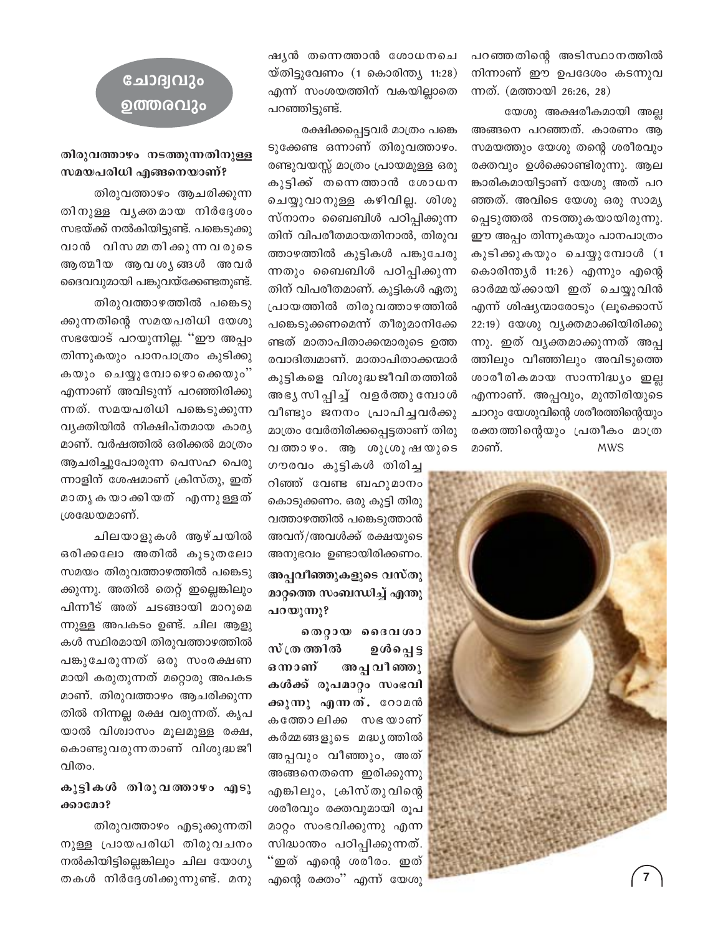പറഞ്ഞതിന്റെ അടിസ്ഥാനത്തിൽ നിന്നാണ് ഈ ഉപദേശം കടന്നുവ ന്നത്. (മത്തായി 26:26, 28)

യേശു അക്ഷരീകമായി അല്ല അങ്ങനെ പറഞ്ഞത്. കാരണം ആ സമയത്തും യേശു തന്റെ ശരീരവും രക്തവും ഉൾക്കൊണ്ടിരുന്നു. ആല ങ്കാരികമായിട്ടാണ് യേശു അത് പറ ഞ്ഞത്. അവിടെ യേശു ഒരു സാമ്യ പ്പെടുത്തൽ നടത്തുകയായിരുന്നു. ഈ അപ്പം തിന്നുകയും പാനപാത്രം കുടിക്കുകയും ചെയ്യുമ്പോൾ (1 കൊരിന്ത്യർ 11:26) എന്നും എന്റെ ഓർമ്മയ്ക്കായി ഇത് ചെയ്യുവിൻ എന്ന് ശിഷ്യന്മാരോടും (ലൂക്കൊസ് 22:19) യേശു വൃക്തമാക്കിയിരിക്കു ന്നു. ഇത് വൃക്തമാക്കുന്നത് അപ്പ ത്തിലും വീഞ്ഞിലും അവിടുത്തെ ശാരീരികമായ സാന്നിദ്ധ്യം ഇല്ല എന്നാണ്. അപ്പവും, മുന്തിരിയുടെ ചാറും യേശുവിന്റെ ശരീരത്തിന്റെയും രക്തത്തിന്റെയും പ്രതീകം മാത്ര മാണ്. **MWS** 



ഷൃൻ തന്നെത്താൻ ശോധനചെ യ്തിട്ടുവേണം (1 കൊരിന്ത്യ 11:28) എന്ന് സംശയത്തിന് വകയില്ലാതെ പറഞ്ഞിട്ടുണ്ട്.

രക്ഷിക്കപ്പെട്ടവർ മാത്രം പങ്കെ ടുക്കേണ്ട ഒന്നാണ് തിരുവത്താഴം. രണ്ടുവയസ്സ് മാത്രം പ്രായമുള്ള ഒരു കുട്ടിക്ക് തന്നെത്താൻ ശോധന ചെയ്യുവാനുള്ള കഴിവില്ല. ശിശു സ്നാനം ബൈബിൾ പഠിപ്പിക്കുന്ന തിന് വിപരീതമായതിനാൽ, തിരുവ ത്താഴത്തിൽ കുട്ടികൾ പങ്കുചേരു ന്നതും ബൈബിൾ പഠിപ്പിക്കുന്ന തിന് വിപരീതമാണ്. കുട്ടികൾ ഏതു പ്രായത്തിൽ തിരുവത്താഴത്തിൽ പങ്കെടുക്കണമെന്ന് തീരുമാനിക്കേ ണ്ടത് മാതാപിതാക്കന്മാരുടെ ഉത്ത രവാദിത്വമാണ്. മാതാപിതാക്കന്മാർ കുട്ടികളെ വിശുദ്ധജീവിതത്തിൽ അഭൃസിപ്പിച്ച് വളർത്തുമ്പോൾ വീണ്ടും ജനനം പ്രാപിച്ചവർക്കു മാത്രം വേർതിരിക്കപ്പെട്ടതാണ് തിരു വത്താഴം. ആ ശുശ്രൂഷയുടെ

ഗൗരവം കുട്ടികൾ തിരിച്ച റിഞ്ഞ് വേണ്ട ബഹുമാനം കൊടുക്കണം. ഒരു കുട്ടി തിരു വത്താഴത്തിൽ പങ്കെടുത്താൻ അവന്/അവൾക്ക് രക്ഷയുടെ അനുഭവം ഉണ്ടായിരിക്കണം. അപ്പവീഞ്ഞുകളുടെ വസ്തു മാറ്റത്തെ സംബന്ധിച്ച് എന്തു പറയുന്നു?

തെറ്റായ ദൈവശാ സ് ത്ര ത്തിൽ อูเชิดญุฐ ഒനാണ് അപ്പ വീ ഞ്ഞു കൾക്ക് രൂപമാറ്റം സംഭവി ക്കുന്നു എന്നത്. റോമൻ കത്തോലിക്ക സഭയാണ് കർമ്മങ്ങളുടെ മദ്ധ്യത്തിൽ അപ്പവും വീഞ്ഞും, അത് അങ്ങനെതന്നെ ഇരിക്കുന്നു എങ്കിലും, ക്രിസ്തുവിന്റെ ശരീരവും രക്തവുമായി രൂപ മാറ്റം സംഭവിക്കുന്നു എന്ന സിദ്ധാന്തം പഠിപ്പിക്കുന്നത്. "ഇത് എന്റെ ശരീരം. ഇത് എന്റെ രക്തം'' എന്ന് യേശു

# ചോദ്വവും ഉത്തരവും

### തിരുവത്താഴം നടത്തുന്നതിനുള്ള സമയപരിധി എങ്ങനെയാണ്?

തിരുവത്താഴം ആചരിക്കുന്ന തിനുള്ള വൃക്തമായ നിർദ്ദേശം സഭയ്ക്ക് നൽകിയിട്ടുണ്ട്. പങ്കെടുക്കു വാൻ വിസമ്മതിക്കുന്നവരുടെ ആത്മീയ ആവശൃങ്ങൾ അവർ ദൈവവുമായി പങ്കുവയ്ക്കേണ്ടതുണ്ട്.

തിരുവത്താഴത്തിൽ പങ്കെടു ക്കുന്നതിന്റെ സമയപരിധി യേശു സഭയോട് പറയുന്നില്ല. "ഈ അപ്പം തിന്നുകയും പാനപാത്രം കുടിക്കു കയും ചെയ്യുമ്പോഴൊക്കെയും" എന്നാണ് അവിടുന്ന് പറഞ്ഞിരിക്കു ന്നത്. സമയപരിധി പങ്കെടുക്കുന്ന വ്യക്തിയിൽ നിക്ഷിപ്തമായ കാര്യ മാണ്. വർഷത്തിൽ ഒരിക്കൽ മാത്രം ആചരിച്ചുപോരുന്ന പെസഹ പെരു ന്നാളിന് ശേഷമാണ് ക്രിസ്തു, ഇത് മാതൃകയാക്കിയത് എന്നുള്ളത് ശദ്ധേയമാണ്.

ചിലയാളുകൾ ആഴ്ചയിൽ ഒരിക്കലോ അതിൽ കൂടുതലോ സമയം തിരുവത്താഴത്തിൽ പങ്കെടു ക്കുന്നു. അതിൽ തെറ്റ് ഇല്ലെങ്കിലും പിന്നീട് അത് ചടങ്ങായി മാറുമെ ന്നുള്ള അപകടം ഉണ്ട്. ചില ആളു കൾ സ്ഥിരമായി തിരുവത്താഴത്തിൽ പങ്കുചേരുന്നത് ഒരു സംരക്ഷണ മായി കരുതുന്നത് മറ്റൊരു അപകട മാണ്. തിരുവത്താഴം ആചരിക്കുന്ന തിൽ നിന്നല്ല രക്ഷ വരുന്നത്. കൃപ യാൽ വിശ്വാസം മൂലമുള്ള രക്ഷ, കൊണ്ടുവരുന്നതാണ് വിശുദ്ധജീ വിതം.

### കുട്ടികൾ തിരുവത്താഴം എടു ക്കാമോ?

തിരുവത്താഴം എടുക്കുന്നതി നുള്ള പ്രായപരിധി തിരുവചനം നൽകിയിട്ടില്ലെങ്കിലും ചില യോഗ്യ തകൾ നിർദ്ദേശിക്കുന്നുണ്ട്. മനു